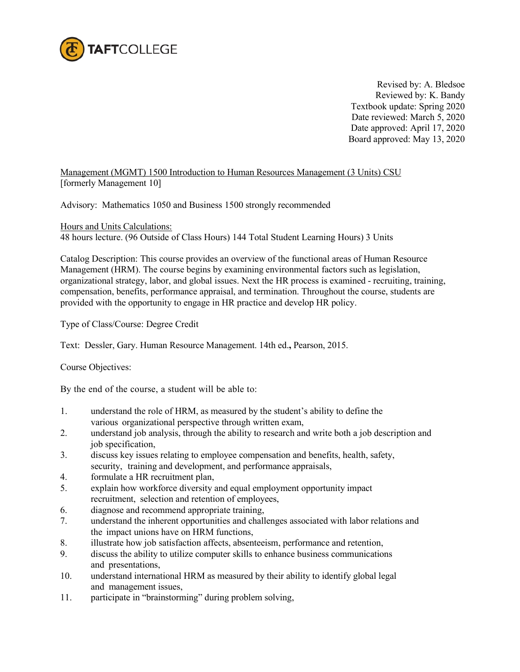

Revised by: A. Bledsoe Reviewed by: K. Bandy Textbook update: Spring 2020 Date reviewed: March 5, 2020 Date approved: April 17, 2020 Board approved: May 13, 2020

Management (MGMT) 1500 Introduction to Human Resources Management (3 Units) CSU [formerly Management 10]

Advisory: Mathematics 1050 and Business 1500 strongly recommended

Hours and Units Calculations:

48 hours lecture. (96 Outside of Class Hours) 144 Total Student Learning Hours) 3 Units

Catalog Description: This course provides an overview of the functional areas of Human Resource Management (HRM). The course begins by examining environmental factors such as legislation, organizational strategy, labor, and global issues. Next the HR process is examined - recruiting, training, compensation, benefits, performance appraisal, and termination. Throughout the course, students are provided with the opportunity to engage in HR practice and develop HR policy.

Type of Class/Course: Degree Credit

Text: Dessler, Gary. Human Resource Management. 14th ed.**,** Pearson, 2015.

Course Objectives:

By the end of the course, a student will be able to:

- 1. understand the role of HRM, as measured by the student's ability to define the various organizational perspective through written exam,
- 2. understand job analysis, through the ability to research and write both a job description and job specification,
- 3. discuss key issues relating to employee compensation and benefits, health, safety, security, training and development, and performance appraisals,
- 4. formulate a HR recruitment plan,
- 5. explain how workforce diversity and equal employment opportunity impact recruitment, selection and retention of employees,
- 6. diagnose and recommend appropriate training,
- 7. understand the inherent opportunities and challenges associated with labor relations and the impact unions have on HRM functions,
- 8. illustrate how job satisfaction affects, absenteeism, performance and retention,
- 9. discuss the ability to utilize computer skills to enhance business communications and presentations,
- 10. understand international HRM as measured by their ability to identify global legal and management issues,
- 11. participate in "brainstorming" during problem solving,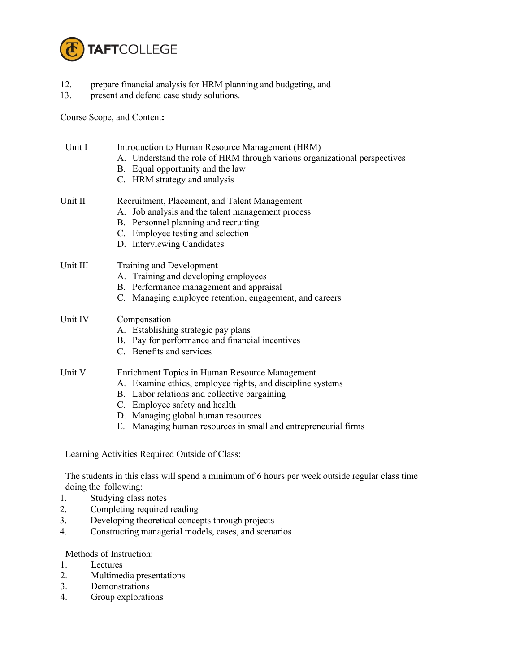

- 12. prepare financial analysis for HRM planning and budgeting, and
- 13. present and defend case study solutions.

Course Scope, and Content**:**

| Unit I   | Introduction to Human Resource Management (HRM)<br>A. Understand the role of HRM through various organizational perspectives<br>B. Equal opportunity and the law<br>C. HRM strategy and analysis                                                                                                      |
|----------|-------------------------------------------------------------------------------------------------------------------------------------------------------------------------------------------------------------------------------------------------------------------------------------------------------|
| Unit II  | Recruitment, Placement, and Talent Management<br>A. Job analysis and the talent management process<br>B. Personnel planning and recruiting<br>C. Employee testing and selection<br>D. Interviewing Candidates                                                                                         |
| Unit III | Training and Development<br>A. Training and developing employees<br>B. Performance management and appraisal<br>C. Managing employee retention, engagement, and careers                                                                                                                                |
| Unit IV  | Compensation<br>A. Establishing strategic pay plans<br>B. Pay for performance and financial incentives<br>C. Benefits and services                                                                                                                                                                    |
| Unit V   | Enrichment Topics in Human Resource Management<br>A. Examine ethics, employee rights, and discipline systems<br>B. Labor relations and collective bargaining<br>C. Employee safety and health<br>D. Managing global human resources<br>E. Managing human resources in small and entrepreneurial firms |

Learning Activities Required Outside of Class:

The students in this class will spend a minimum of 6 hours per week outside regular class time doing the following:

- 1. Studying class notes
- 2. Completing required reading
- 3. Developing theoretical concepts through projects
- 4. Constructing managerial models, cases, and scenarios

## Methods of Instruction:

- 1. Lectures<br>2. Multimed
- 2. Multimedia presentations
- 3. Demonstrations
- 4. Group explorations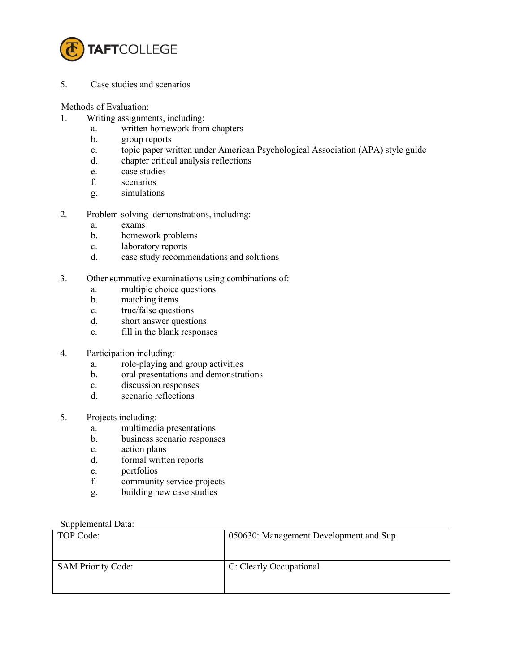

5. Case studies and scenarios

Methods of Evaluation:

- 1. Writing assignments, including:
	- a. written homework from chapters
	- b. group reports
	- c. topic paper written under American Psychological Association (APA) style guide
	- d. chapter critical analysis reflections
	- e. case studies
	- f. scenarios
	- g. simulations
- 2. Problem-solving demonstrations, including:
	- a. exams
	- b. homework problems
	- c. laboratory reports
	- d. case study recommendations and solutions
- 3. Other summative examinations using combinations of:
	- a. multiple choice questions
	- b. matching items
	- c. true/false questions
	- d. short answer questions
	- e. fill in the blank responses
- 4. Participation including:
	- a. role-playing and group activities
	- b. oral presentations and demonstrations
	- c. discussion responses
	- d. scenario reflections
- 5. Projects including:
	- a. multimedia presentations
	- b. business scenario responses
	- c. action plans
	- d. formal written reports
	- e. portfolios
	- f. community service projects
	- g. building new case studies

## Supplemental Data:

| TOP Code:                 | 050630: Management Development and Sup |
|---------------------------|----------------------------------------|
| <b>SAM Priority Code:</b> | C: Clearly Occupational                |